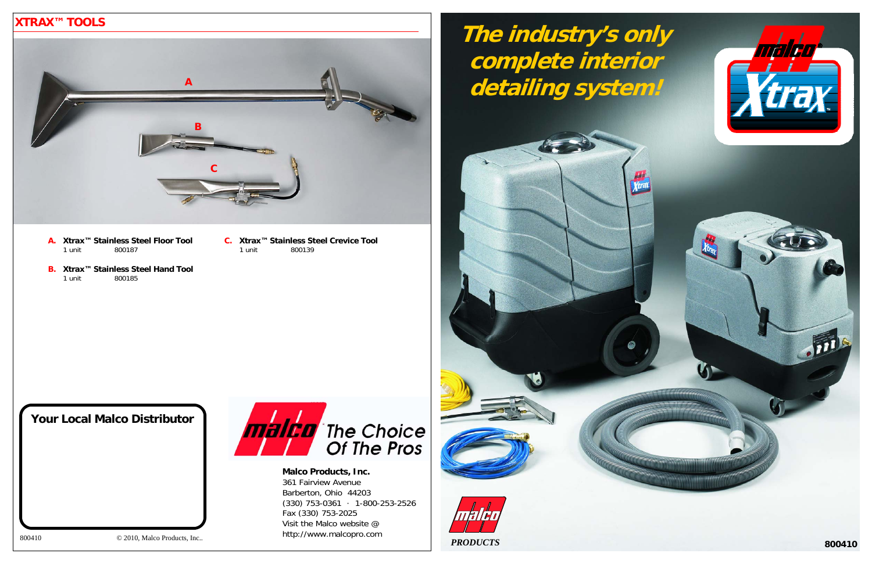**Malco Products, Inc.**  361 Fairview Avenue Barberton, Ohio 44203 (330) 753-0361 · 1-800-253-2526 Fax (330) 753-2025 Visit the Malco website @ http://www.malcopro.com

# **XTRAX™ TOOLS**

- **Xtrax™ Stainless Steel Floor ToolA.** 1 unit 800187
- **Xtrax™ Stainless Steel Hand Tool B.** 1 unit 800185
- **Xtrax™ Stainless Steel Crevice ToolC.** 1 unit 800139



800410 © 2010, Malco Products, Inc..



**Your Local Malco Distributor**